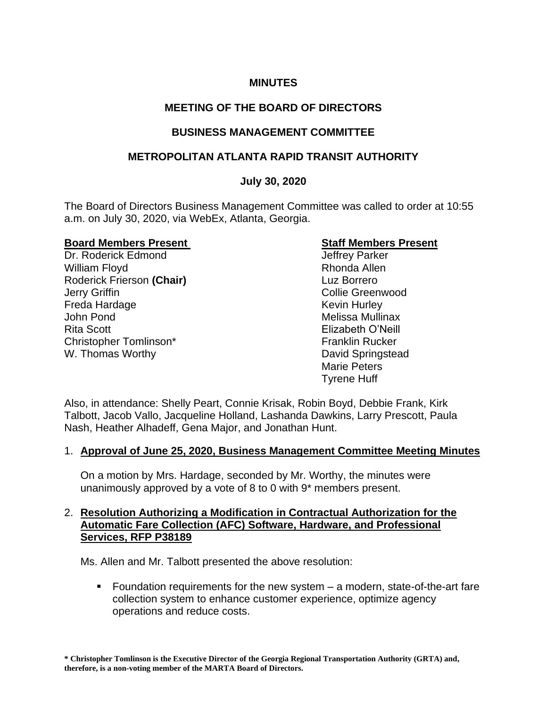# **MINUTES**

# **MEETING OF THE BOARD OF DIRECTORS**

# **BUSINESS MANAGEMENT COMMITTEE**

# **METROPOLITAN ATLANTA RAPID TRANSIT AUTHORITY**

## **July 30, 2020**

The Board of Directors Business Management Committee was called to order at 10:55 a.m. on July 30, 2020, via WebEx, Atlanta, Georgia.

#### **Board Members Present**  Staff Members Present

Dr. Roderick Edmond Green Controllery Parker William Floyd **Rhonda Allen** Roderick Frierson **(Chair)** Luz Borrero **Jerry Griffin Collie Greenwood** Freda Hardage **Kevin Hurley** Kevin Hurley John Pond Melissa Mullinax Rita Scott Elizabeth O'Neill Christopher Tomlinson\* Franklin Rucker W. Thomas Worthy **David Springstead** 

Marie Peters Tyrene Huff

Also, in attendance: Shelly Peart, Connie Krisak, Robin Boyd, Debbie Frank, Kirk Talbott, Jacob Vallo, Jacqueline Holland, Lashanda Dawkins, Larry Prescott, Paula Nash, Heather Alhadeff, Gena Major, and Jonathan Hunt.

#### 1. **Approval of June 25, 2020, Business Management Committee Meeting Minutes**

On a motion by Mrs. Hardage, seconded by Mr. Worthy, the minutes were unanimously approved by a vote of 8 to 0 with 9\* members present.

#### 2. **Resolution Authorizing a Modification in Contractual Authorization for the Automatic Fare Collection (AFC) Software, Hardware, and Professional Services, RFP P38189**

Ms. Allen and Mr. Talbott presented the above resolution:

■ Foundation requirements for the new system – a modern, state-of-the-art fare collection system to enhance customer experience, optimize agency operations and reduce costs.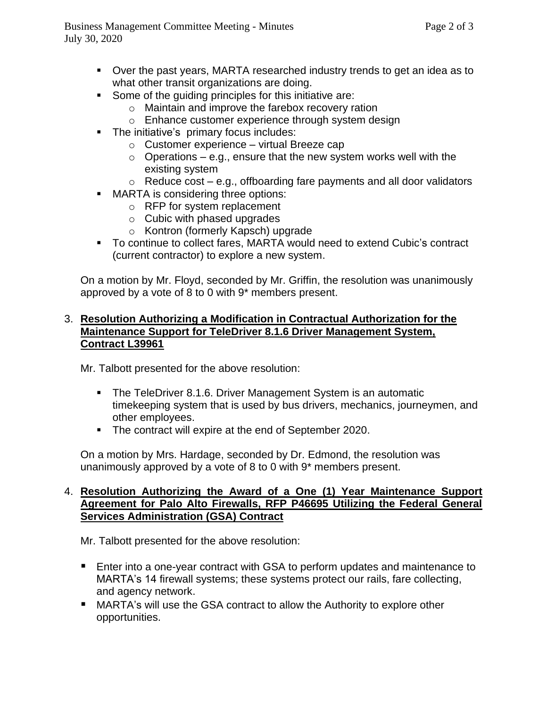- Over the past years, MARTA researched industry trends to get an idea as to what other transit organizations are doing.
- Some of the quiding principles for this initiative are:
	- o Maintain and improve the farebox recovery ration
	- o Enhance customer experience through system design
- **•** The initiative's primary focus includes:
	- $\circ$  Customer experience virtual Breeze cap
	- $\circ$  Operations e.g., ensure that the new system works well with the existing system
	- $\circ$  Reduce cost e.g., offboarding fare payments and all door validators
- MARTA is considering three options:
	- o RFP for system replacement
	- o Cubic with phased upgrades
	- o Kontron (formerly Kapsch) upgrade
- To continue to collect fares, MARTA would need to extend Cubic's contract (current contractor) to explore a new system.

On a motion by Mr. Floyd, seconded by Mr. Griffin, the resolution was unanimously approved by a vote of 8 to 0 with 9\* members present.

### 3. **Resolution Authorizing a Modification in Contractual Authorization for the Maintenance Support for TeleDriver 8.1.6 Driver Management System, Contract L39961**

Mr. Talbott presented for the above resolution:

- The TeleDriver 8.1.6. Driver Management System is an automatic timekeeping system that is used by bus drivers, mechanics, journeymen, and other employees.
- The contract will expire at the end of September 2020.

On a motion by Mrs. Hardage, seconded by Dr. Edmond, the resolution was unanimously approved by a vote of 8 to 0 with 9\* members present.

## 4. **Resolution Authorizing the Award of a One (1) Year Maintenance Support Agreement for Palo Alto Firewalls, RFP P46695 Utilizing the Federal General Services Administration (GSA) Contract**

Mr. Talbott presented for the above resolution:

- Enter into a one-year contract with GSA to perform updates and maintenance to MARTA's 14 firewall systems; these systems protect our rails, fare collecting, and agency network.
- MARTA's will use the GSA contract to allow the Authority to explore other opportunities.